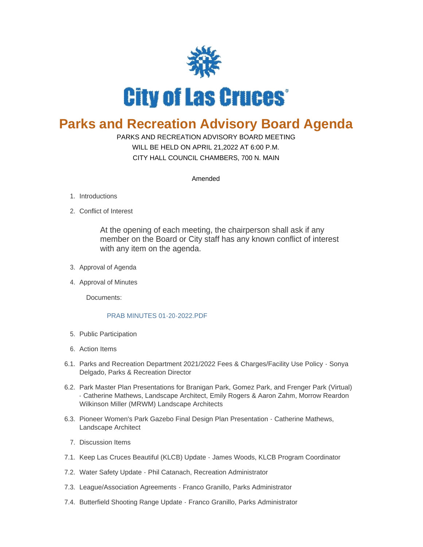

## **Parks and Recreation Advisory Board Agenda**

## PARKS AND RECREATION ADVISORY BOARD MEETING

WILL BE HELD ON APRIL 21,2022 AT 6:00 P.M. CITY HALL COUNCIL CHAMBERS, 700 N. MAIN

Amended

- 1. Introductions
- 2. Conflict of Interest

At the opening of each meeting, the chairperson shall ask if any member on the Board or City staff has any known conflict of interest with any item on the agenda.

- 3. Approval of Agenda
- 4. Approval of Minutes

Documents:

## [PRAB MINUTES 01-20-2022.PDF](https://www.las-cruces.org/AgendaCenter/ViewFile/Item/3892?fileID=15092)

- 5. Public Participation
- Action Items 6.
- 6.1. Parks and Recreation Department 2021/2022 Fees & Charges/Facility Use Policy Sonya Delgado, Parks & Recreation Director
- 6.2. Park Master Plan Presentations for Branigan Park, Gomez Park, and Frenger Park (Virtual) - Catherine Mathews, Landscape Architect, Emily Rogers & Aaron Zahm, Morrow Reardon Wilkinson Miller (MRWM) Landscape Architects
- 6.3. Pioneer Women's Park Gazebo Final Design Plan Presentation Catherine Mathews, Landscape Architect
	- 7. Discussion Items
- 7.1. Keep Las Cruces Beautiful (KLCB) Update James Woods, KLCB Program Coordinator
- 7.2. Water Safety Update Phil Catanach, Recreation Administrator
- 7.3. League/Association Agreements Franco Granillo, Parks Administrator
- 7.4. Butterfield Shooting Range Update Franco Granillo, Parks Administrator